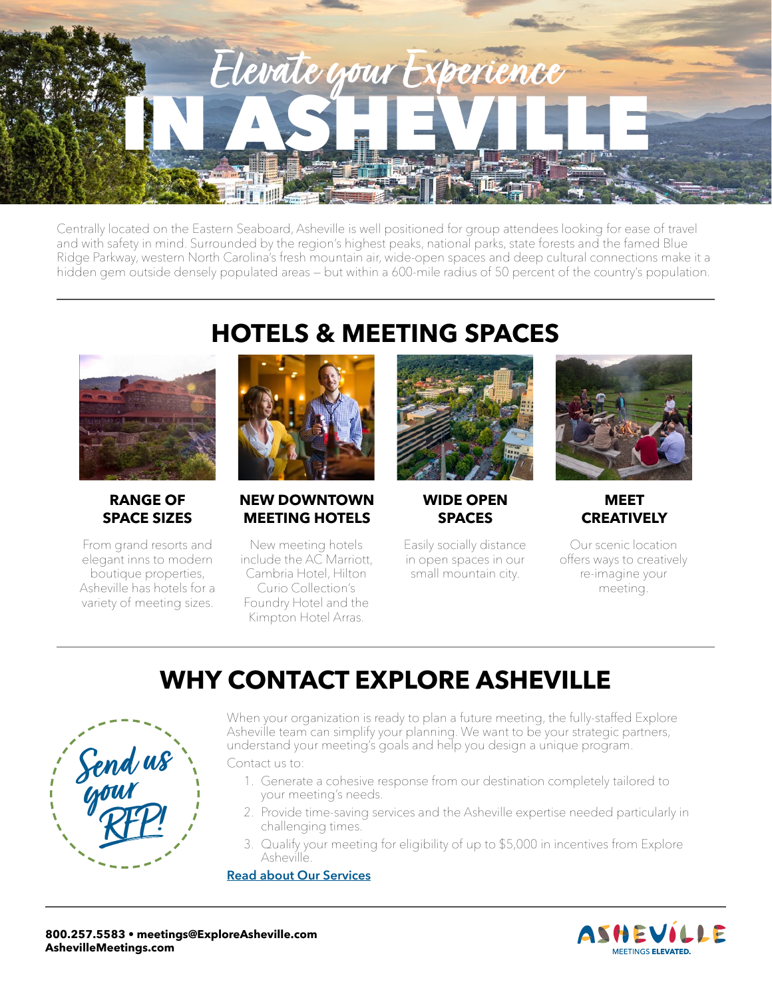

Centrally located on the Eastern Seaboard, Asheville is well positioned for group attendees looking for ease of travel and with safety in mind. Surrounded by the region's highest peaks, national parks, state forests and the famed Blue Ridge Parkway, western North Carolina's fresh mountain air, wide-open spaces and deep cultural connections make it a hidden gem outside densely populated areas — but within a 600-mile radius of 50 percent of the country's population.



### **RANGE OF SPACE SIZES**

From grand resorts and elegant inns to modern boutique properties, Asheville has hotels for a variety of meeting sizes.

## **HOTELS & MEETING SPACES**



## **NEW DOWNTOWN MEETING HOTELS**

New meeting hotels include the AC Marriott, Cambria Hotel, Hilton Curio Collection's

Foundry Hotel and the Kimpton Hotel Arras.



**WIDE OPEN SPACES**

Easily socially distance in open spaces in our small mountain city.



### **MEET CREATIVELY**

Our scenic location offers ways to creatively re-imagine your meeting.

# **WHY CONTACT EXPLORE ASHEVILLE**



When your organization is ready to plan a future meeting, the fully-staffed Explore Asheville team can simplify your planning. We want to be your strategic partners, understand your meeting's goals and help you design a unique program.

Contact us to:

- 1. Generate a cohesive response from our destination completely tailored to your meeting's needs.
- 2. Provide time-saving services and the Asheville expertise needed particularly in challenging times.
- 3. Qualify your meeting for eligibility of up to \$5,000 in incentives from Explore Asheville.

**[Read about Our Services](https://www.exploreasheville.com/meeting-planners/cvb-services/)**